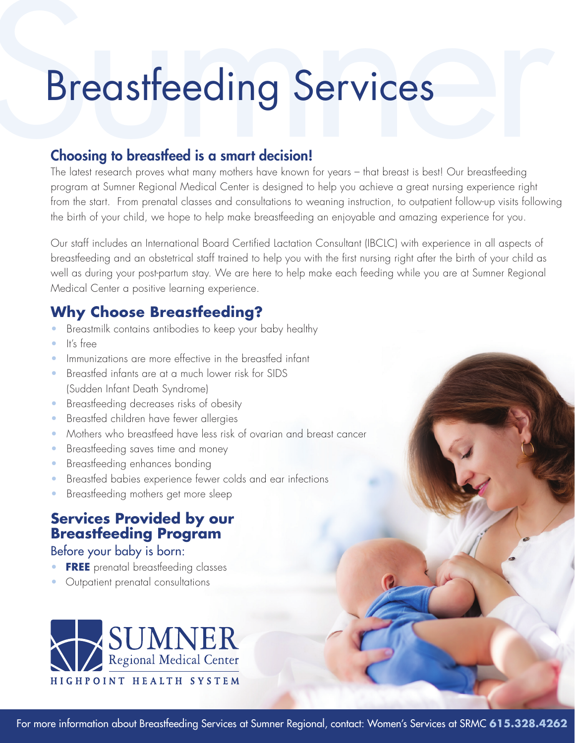# **Breastfeeding Services**

## Choosing to breastfeed is a smart decision!

The latest research proves what many mothers have known for years – that breast is best! Our breastfeeding program at Sumner Regional Medical Center is designed to help you achieve a great nursing experience right from the start. From prenatal classes and consultations to weaning instruction, to outpatient follow-up visits following the birth of your child, we hope to help make breastfeeding an enjoyable and amazing experience for you.

Our staff includes an International Board Certified Lactation Consultant (IBCLC) with experience in all aspects of breastfeeding and an obstetrical staff trained to help you with the first nursing right after the birth of your child as well as during your post-partum stay. We are here to help make each feeding while you are at Sumner Regional Medical Center a positive learning experience.

# **Why Choose Breastfeeding?**

- Breastmilk contains antibodies to keep your baby healthy
- It's free
- Immunizations are more effective in the breastfed infant
- Breastfed infants are at a much lower risk for SIDS (Sudden Infant Death Syndrome)
- Breastfeeding decreases risks of obesity
- Breastfed children have fewer allergies
- Mothers who breastfeed have less risk of ovarian and breast cancer
- Breastfeeding saves time and money
- Breastfeeding enhances bonding
- Breastfed babies experience fewer colds and ear infections
- Breastfeeding mothers get more sleep

## **Services Provided by our Breastfeeding Program**

Before your baby is born:

- **FREE** prenatal breastfeeding classes
- Outpatient prenatal consultations